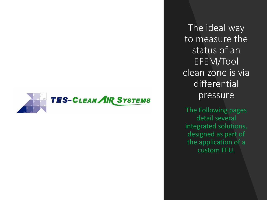

The ideal way to measure the status of an EFEM/Tool clean zone is via differential pressure

The Following pages detail several integrated solutions, designed as part of the application of a custom FFU.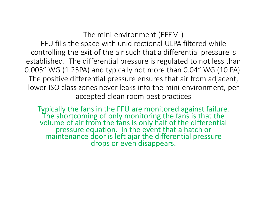The mini-environment (EFEM )

FFU fills the space with unidirectional ULPA filtered while controlling the exit of the air such that a differential pressure is established. The differential pressure is regulated to not less than 0.005" WG (1.25PA) and typically not more than 0.04" WG (10 PA). The positive differential pressure ensures that air from adjacent, lower ISO class zones never leaks into the mini-environment, per accepted clean room best practices

Typically the fans in the FFU are monitored against failure. The shortcoming of only monitoring the fans is that the volume of air from the fans is only half of the differential pressure equation. In the event that a hatch or maintenance door is left ajar the differential pressure drops or even disappears.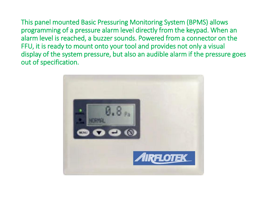This panel mounted Basic Pressuring Monitoring System (BPMS) allows programming of a pressure alarm level directly from the keypad. When an alarm level is reached, a buzzer sounds. Powered from a connector on the FFU, it is ready to mount onto your tool and provides not only a visual display of the system pressure, but also an audible alarm if the pressure goes out of specification.